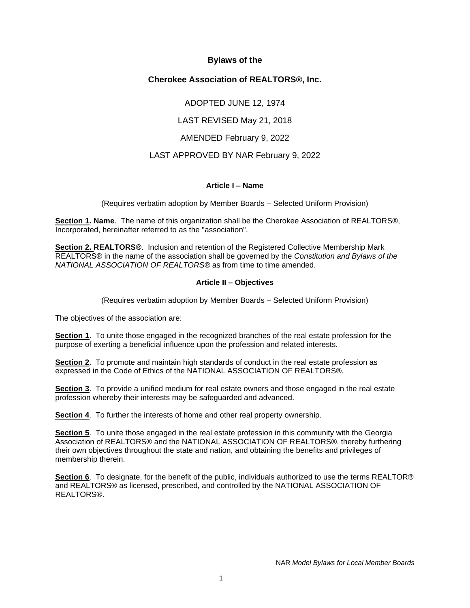## **Bylaws of the**

# **Cherokee Association of REALTORS®, Inc.**

ADOPTED JUNE 12, 1974

LAST REVISED May 21, 2018

AMENDED February 9, 2022

# LAST APPROVED BY NAR February 9, 2022

#### **Article I – Name**

(Requires verbatim adoption by Member Boards – Selected Uniform Provision)

**Section 1. Name**. The name of this organization shall be the Cherokee Association of REALTORS®, Incorporated, hereinafter referred to as the "association".

**Section 2. REALTORS®**. Inclusion and retention of the Registered Collective Membership Mark REALTORS® in the name of the association shall be governed by the *Constitution and Bylaws of the NATIONAL ASSOCIATION OF REALTORS®* as from time to time amended.

## **Article II – Objectives**

(Requires verbatim adoption by Member Boards – Selected Uniform Provision)

The objectives of the association are:

**Section 1**. To unite those engaged in the recognized branches of the real estate profession for the purpose of exerting a beneficial influence upon the profession and related interests.

**Section 2**. To promote and maintain high standards of conduct in the real estate profession as expressed in the Code of Ethics of the NATIONAL ASSOCIATION OF REALTORS®.

**Section 3**. To provide a unified medium for real estate owners and those engaged in the real estate profession whereby their interests may be safeguarded and advanced.

**Section 4**. To further the interests of home and other real property ownership.

**Section 5.** To unite those engaged in the real estate profession in this community with the Georgia Association of REALTORS® and the NATIONAL ASSOCIATION OF REALTORS®, thereby furthering their own objectives throughout the state and nation, and obtaining the benefits and privileges of membership therein.

**Section 6**. To designate, for the benefit of the public, individuals authorized to use the terms REALTOR® and REALTORS® as licensed, prescribed, and controlled by the NATIONAL ASSOCIATION OF REALTORS®.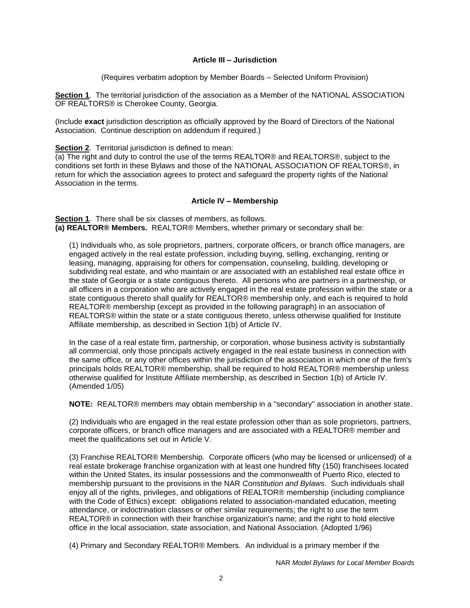### **Article III – Jurisdiction**

(Requires verbatim adoption by Member Boards – Selected Uniform Provision)

**Section 1**. The territorial jurisdiction of the association as a Member of the NATIONAL ASSOCIATION OF REALTORS® is Cherokee County, Georgia.

(Include **exact** jurisdiction description as officially approved by the Board of Directors of the National Association. Continue description on addendum if required.)

**Section 2.** Territorial jurisdiction is defined to mean:

(a) The right and duty to control the use of the terms REALTOR® and REALTORS®, subject to the conditions set forth in these Bylaws and those of the NATIONAL ASSOCIATION OF REALTORS®, in return for which the association agrees to protect and safeguard the property rights of the National Association in the terms.

#### **Article IV – Membership**

**Section 1**. There shall be six classes of members, as follows. **(a) REALTOR® Members.** REALTOR® Members, whether primary or secondary shall be:

(1) Individuals who, as sole proprietors, partners, corporate officers, or branch office managers, are engaged actively in the real estate profession, including buying, selling, exchanging, renting or leasing, managing, appraising for others for compensation, counseling, building, developing or subdividing real estate, and who maintain or are associated with an established real estate office in the state of Georgia or a state contiguous thereto. All persons who are partners in a partnership, or all officers in a corporation who are actively engaged in the real estate profession within the state or a state contiguous thereto shall qualify for REALTOR® membership only, and each is required to hold REALTOR® membership (except as provided in the following paragraph) in an association of REALTORS<sup>®</sup> within the state or a state contiguous thereto, unless otherwise qualified for Institute Affiliate membership, as described in Section 1(b) of Article IV.

In the case of a real estate firm, partnership, or corporation, whose business activity is substantially all commercial, only those principals actively engaged in the real estate business in connection with the same office, or any other offices within the jurisdiction of the association in which one of the firm's principals holds REALTOR® membership, shall be required to hold REALTOR® membership unless otherwise qualified for Institute Affiliate membership, as described in Section 1(b) of Article IV. (Amended 1/05)

**NOTE:** REALTOR® members may obtain membership in a "secondary" association in another state.

(2) Individuals who are engaged in the real estate profession other than as sole proprietors, partners, corporate officers, or branch office managers and are associated with a REALTOR® member and meet the qualifications set out in Article V.

(3) Franchise REALTOR® Membership. Corporate officers (who may be licensed or unlicensed) of a real estate brokerage franchise organization with at least one hundred fifty (150) franchisees located within the United States, its insular possessions and the commonwealth of Puerto Rico, elected to membership pursuant to the provisions in the NAR *Constitution and Bylaws*. Such individuals shall enjoy all of the rights, privileges, and obligations of REALTOR® membership (including compliance with the Code of Ethics) except: obligations related to association-mandated education, meeting attendance, or indoctrination classes or other similar requirements; the right to use the term REALTOR® in connection with their franchise organization's name; and the right to hold elective office in the local association, state association, and National Association. (Adopted 1/96)

(4) Primary and Secondary REALTOR® Members. An individual is a primary member if the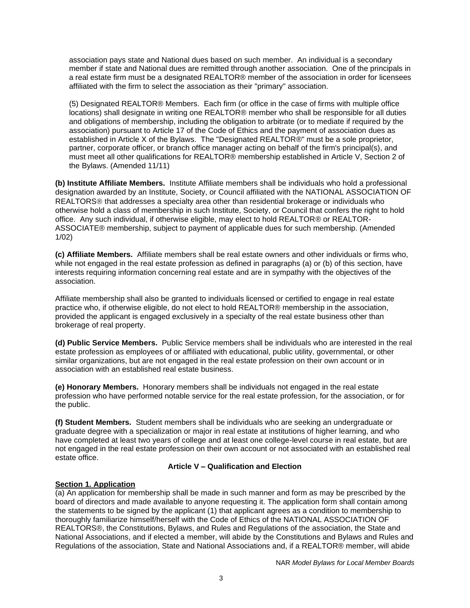association pays state and National dues based on such member. An individual is a secondary member if state and National dues are remitted through another association. One of the principals in a real estate firm must be a designated REALTOR® member of the association in order for licensees affiliated with the firm to select the association as their "primary" association.

(5) Designated REALTOR® Members. Each firm (or office in the case of firms with multiple office locations) shall designate in writing one REALTOR® member who shall be responsible for all duties and obligations of membership, including the obligation to arbitrate (or to mediate if required by the association) pursuant to Article 17 of the Code of Ethics and the payment of association dues as established in Article X of the Bylaws. The "Designated REALTOR®" must be a sole proprietor, partner, corporate officer, or branch office manager acting on behalf of the firm's principal(s), and must meet all other qualifications for REALTOR® membership established in Article V, Section 2 of the Bylaws. (Amended 11/11)

**(b) Institute Affiliate Members.** Institute Affiliate members shall be individuals who hold a professional designation awarded by an Institute, Society, or Council affiliated with the NATIONAL ASSOCIATION OF REALTORS<sup>®</sup> that addresses a specialty area other than residential brokerage or individuals who otherwise hold a class of membership in such Institute, Society, or Council that confers the right to hold office. Any such individual, if otherwise eligible, may elect to hold REALTOR® or REALTOR-ASSOCIATE® membership, subject to payment of applicable dues for such membership. (Amended 1/02)

**(c) Affiliate Members.** Affiliate members shall be real estate owners and other individuals or firms who, while not engaged in the real estate profession as defined in paragraphs (a) or (b) of this section, have interests requiring information concerning real estate and are in sympathy with the objectives of the association.

Affiliate membership shall also be granted to individuals licensed or certified to engage in real estate practice who, if otherwise eligible, do not elect to hold REALTOR® membership in the association, provided the applicant is engaged exclusively in a specialty of the real estate business other than brokerage of real property.

**(d) Public Service Members.** Public Service members shall be individuals who are interested in the real estate profession as employees of or affiliated with educational, public utility, governmental, or other similar organizations, but are not engaged in the real estate profession on their own account or in association with an established real estate business.

**(e) Honorary Members.** Honorary members shall be individuals not engaged in the real estate profession who have performed notable service for the real estate profession, for the association, or for the public.

**(f) Student Members.** Student members shall be individuals who are seeking an undergraduate or graduate degree with a specialization or major in real estate at institutions of higher learning, and who have completed at least two years of college and at least one college-level course in real estate, but are not engaged in the real estate profession on their own account or not associated with an established real estate office.

## **Article V – Qualification and Election**

## **Section 1. Application**

(a) An application for membership shall be made in such manner and form as may be prescribed by the board of directors and made available to anyone requesting it. The application form shall contain among the statements to be signed by the applicant (1) that applicant agrees as a condition to membership to thoroughly familiarize himself/herself with the Code of Ethics of the NATIONAL ASSOCIATION OF REALTORS®, the Constitutions, Bylaws, and Rules and Regulations of the association, the State and National Associations, and if elected a member, will abide by the Constitutions and Bylaws and Rules and Regulations of the association, State and National Associations and, if a REALTOR® member, will abide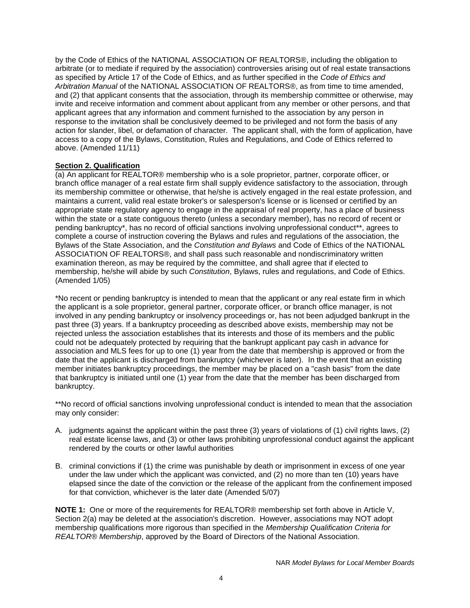by the Code of Ethics of the NATIONAL ASSOCIATION OF REALTORS®, including the obligation to arbitrate (or to mediate if required by the association) controversies arising out of real estate transactions as specified by Article 17 of the Code of Ethics, and as further specified in the *Code of Ethics and Arbitration Manual* of the NATIONAL ASSOCIATION OF REALTORS®, as from time to time amended, and (2) that applicant consents that the association, through its membership committee or otherwise, may invite and receive information and comment about applicant from any member or other persons, and that applicant agrees that any information and comment furnished to the association by any person in response to the invitation shall be conclusively deemed to be privileged and not form the basis of any action for slander, libel, or defamation of character. The applicant shall, with the form of application, have access to a copy of the Bylaws, Constitution, Rules and Regulations, and Code of Ethics referred to above. (Amended 11/11)

#### **Section 2. Qualification**

(a) An applicant for REALTOR® membership who is a sole proprietor, partner, corporate officer, or branch office manager of a real estate firm shall supply evidence satisfactory to the association, through its membership committee or otherwise, that he/she is actively engaged in the real estate profession, and maintains a current, valid real estate broker's or salesperson's license or is licensed or certified by an appropriate state regulatory agency to engage in the appraisal of real property, has a place of business within the state or a state contiguous thereto (unless a secondary member), has no record of recent or pending bankruptcy\*, has no record of official sanctions involving unprofessional conduct\*\*, agrees to complete a course of instruction covering the Bylaws and rules and regulations of the association, the Bylaws of the State Association, and the *Constitution and Bylaws* and Code of Ethics of the NATIONAL ASSOCIATION OF REALTORS®, and shall pass such reasonable and nondiscriminatory written examination thereon, as may be required by the committee, and shall agree that if elected to membership, he/she will abide by such *Constitution*, Bylaws, rules and regulations, and Code of Ethics. (Amended 1/05)

\*No recent or pending bankruptcy is intended to mean that the applicant or any real estate firm in which the applicant is a sole proprietor, general partner, corporate officer, or branch office manager, is not involved in any pending bankruptcy or insolvency proceedings or, has not been adjudged bankrupt in the past three (3) years. If a bankruptcy proceeding as described above exists, membership may not be rejected unless the association establishes that its interests and those of its members and the public could not be adequately protected by requiring that the bankrupt applicant pay cash in advance for association and MLS fees for up to one (1) year from the date that membership is approved or from the date that the applicant is discharged from bankruptcy (whichever is later). In the event that an existing member initiates bankruptcy proceedings, the member may be placed on a "cash basis" from the date that bankruptcy is initiated until one (1) year from the date that the member has been discharged from bankruptcy.

\*\*No record of official sanctions involving unprofessional conduct is intended to mean that the association may only consider:

- A. judgments against the applicant within the past three (3) years of violations of (1) civil rights laws, (2) real estate license laws, and (3) or other laws prohibiting unprofessional conduct against the applicant rendered by the courts or other lawful authorities
- B. criminal convictions if (1) the crime was punishable by death or imprisonment in excess of one year under the law under which the applicant was convicted, and (2) no more than ten (10) years have elapsed since the date of the conviction or the release of the applicant from the confinement imposed for that conviction, whichever is the later date (Amended 5/07)

**NOTE 1:** One or more of the requirements for REALTOR® membership set forth above in Article V, Section 2(a) may be deleted at the association's discretion. However, associations may NOT adopt membership qualifications more rigorous than specified in the *Membership Qualification Criteria for REALTOR® Membership*, approved by the Board of Directors of the National Association.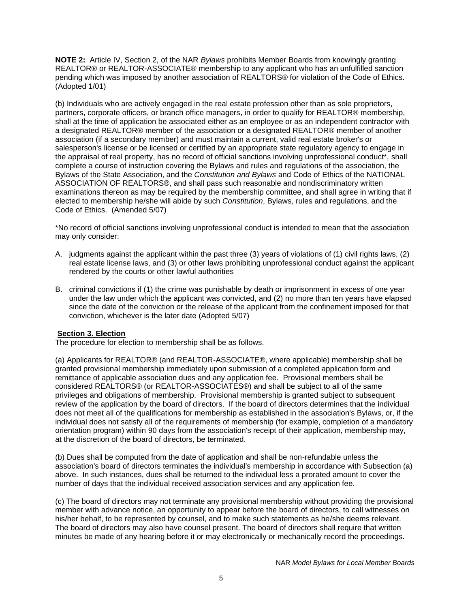**NOTE 2:** Article IV, Section 2, of the NAR *Bylaws* prohibits Member Boards from knowingly granting REALTOR® or REALTOR-ASSOCIATE® membership to any applicant who has an unfulfilled sanction pending which was imposed by another association of REALTORS® for violation of the Code of Ethics. (Adopted 1/01)

(b) Individuals who are actively engaged in the real estate profession other than as sole proprietors, partners, corporate officers, or branch office managers, in order to qualify for REALTOR® membership, shall at the time of application be associated either as an employee or as an independent contractor with a designated REALTOR® member of the association or a designated REALTOR® member of another association (if a secondary member) and must maintain a current, valid real estate broker's or salesperson's license or be licensed or certified by an appropriate state regulatory agency to engage in the appraisal of real property, has no record of official sanctions involving unprofessional conduct\*, shall complete a course of instruction covering the Bylaws and rules and regulations of the association, the Bylaws of the State Association, and the *Constitution and Bylaws* and Code of Ethics of the NATIONAL ASSOCIATION OF REALTORS®, and shall pass such reasonable and nondiscriminatory written examinations thereon as may be required by the membership committee, and shall agree in writing that if elected to membership he/she will abide by such *Constitution*, Bylaws, rules and regulations, and the Code of Ethics. (Amended 5/07)

\*No record of official sanctions involving unprofessional conduct is intended to mean that the association may only consider:

- A. judgments against the applicant within the past three (3) years of violations of (1) civil rights laws, (2) real estate license laws, and (3) or other laws prohibiting unprofessional conduct against the applicant rendered by the courts or other lawful authorities
- B. criminal convictions if (1) the crime was punishable by death or imprisonment in excess of one year under the law under which the applicant was convicted, and (2) no more than ten years have elapsed since the date of the conviction or the release of the applicant from the confinement imposed for that conviction, whichever is the later date (Adopted 5/07)

#### **Section 3. Election**

The procedure for election to membership shall be as follows.

(a) Applicants for REALTOR® (and REALTOR-ASSOCIATE®, where applicable) membership shall be granted provisional membership immediately upon submission of a completed application form and remittance of applicable association dues and any application fee. Provisional members shall be considered REALTORS® (or REALTOR-ASSOCIATES®) and shall be subject to all of the same privileges and obligations of membership. Provisional membership is granted subject to subsequent review of the application by the board of directors. If the board of directors determines that the individual does not meet all of the qualifications for membership as established in the association's Bylaws, or, if the individual does not satisfy all of the requirements of membership (for example, completion of a mandatory orientation program) within 90 days from the association's receipt of their application, membership may, at the discretion of the board of directors, be terminated.

(b) Dues shall be computed from the date of application and shall be non-refundable unless the association's board of directors terminates the individual's membership in accordance with Subsection (a) above. In such instances, dues shall be returned to the individual less a prorated amount to cover the number of days that the individual received association services and any application fee.

(c) The board of directors may not terminate any provisional membership without providing the provisional member with advance notice, an opportunity to appear before the board of directors, to call witnesses on his/her behalf, to be represented by counsel, and to make such statements as he/she deems relevant. The board of directors may also have counsel present. The board of directors shall require that written minutes be made of any hearing before it or may electronically or mechanically record the proceedings.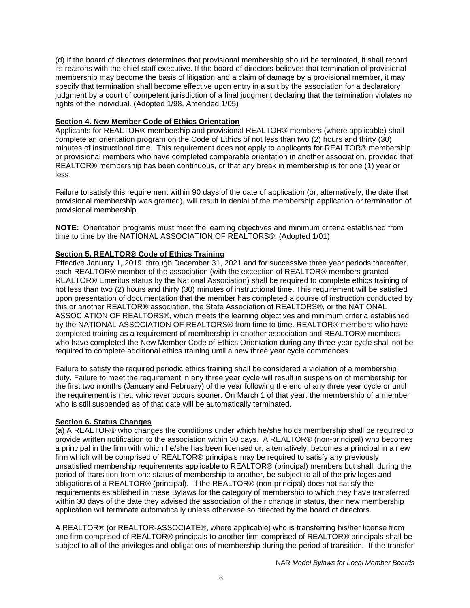(d) If the board of directors determines that provisional membership should be terminated, it shall record its reasons with the chief staff executive. If the board of directors believes that termination of provisional membership may become the basis of litigation and a claim of damage by a provisional member, it may specify that termination shall become effective upon entry in a suit by the association for a declaratory judgment by a court of competent jurisdiction of a final judgment declaring that the termination violates no rights of the individual. (Adopted 1/98, Amended 1/05)

#### **Section 4. New Member Code of Ethics Orientation**

Applicants for REALTOR® membership and provisional REALTOR® members (where applicable) shall complete an orientation program on the Code of Ethics of not less than two (2) hours and thirty (30) minutes of instructional time. This requirement does not apply to applicants for REALTOR® membership or provisional members who have completed comparable orientation in another association, provided that REALTOR® membership has been continuous, or that any break in membership is for one (1) year or less.

Failure to satisfy this requirement within 90 days of the date of application (or, alternatively, the date that provisional membership was granted), will result in denial of the membership application or termination of provisional membership.

**NOTE:** Orientation programs must meet the learning objectives and minimum criteria established from time to time by the NATIONAL ASSOCIATION OF REALTORS®. (Adopted 1/01)

## **Section 5. REALTOR® Code of Ethics Training**

Effective January 1, 2019, through December 31, 2021 and for successive three year periods thereafter, each REALTOR® member of the association (with the exception of REALTOR® members granted REALTOR® Emeritus status by the National Association) shall be required to complete ethics training of not less than two (2) hours and thirty (30) minutes of instructional time. This requirement will be satisfied upon presentation of documentation that the member has completed a course of instruction conducted by this or another REALTOR® association, the State Association of REALTORS®, or the NATIONAL ASSOCIATION OF REALTORS®, which meets the learning objectives and minimum criteria established by the NATIONAL ASSOCIATION OF REALTORS® from time to time. REALTOR® members who have completed training as a requirement of membership in another association and REALTOR® members who have completed the New Member Code of Ethics Orientation during any three year cycle shall not be required to complete additional ethics training until a new three year cycle commences.

Failure to satisfy the required periodic ethics training shall be considered a violation of a membership duty. Failure to meet the requirement in any three year cycle will result in suspension of membership for the first two months (January and February) of the year following the end of any three year cycle or until the requirement is met, whichever occurs sooner. On March 1 of that year, the membership of a member who is still suspended as of that date will be automatically terminated.

## **Section 6. Status Changes**

(a) A REALTOR® who changes the conditions under which he/she holds membership shall be required to provide written notification to the association within 30 days. A REALTOR® (non-principal) who becomes a principal in the firm with which he/she has been licensed or, alternatively, becomes a principal in a new firm which will be comprised of REALTOR® principals may be required to satisfy any previously unsatisfied membership requirements applicable to REALTOR® (principal) members but shall, during the period of transition from one status of membership to another, be subject to all of the privileges and obligations of a REALTOR® (principal). If the REALTOR® (non-principal) does not satisfy the requirements established in these Bylaws for the category of membership to which they have transferred within 30 days of the date they advised the association of their change in status, their new membership application will terminate automatically unless otherwise so directed by the board of directors.

A REALTOR® (or REALTOR-ASSOCIATE®, where applicable) who is transferring his/her license from one firm comprised of REALTOR® principals to another firm comprised of REALTOR® principals shall be subject to all of the privileges and obligations of membership during the period of transition. If the transfer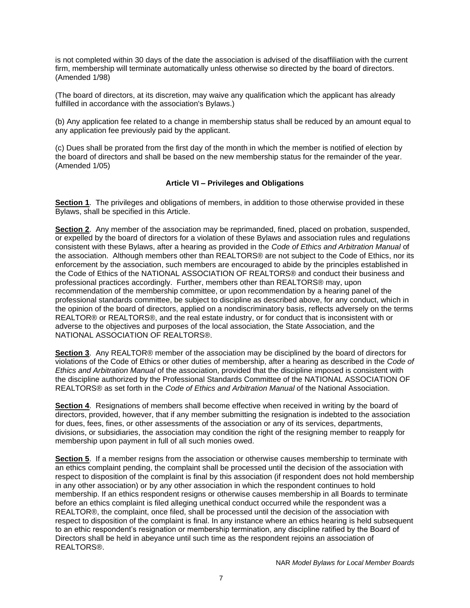is not completed within 30 days of the date the association is advised of the disaffiliation with the current firm, membership will terminate automatically unless otherwise so directed by the board of directors. (Amended 1/98)

(The board of directors, at its discretion, may waive any qualification which the applicant has already fulfilled in accordance with the association's Bylaws.)

(b) Any application fee related to a change in membership status shall be reduced by an amount equal to any application fee previously paid by the applicant.

(c) Dues shall be prorated from the first day of the month in which the member is notified of election by the board of directors and shall be based on the new membership status for the remainder of the year. (Amended 1/05)

#### **Article VI – Privileges and Obligations**

**Section 1**. The privileges and obligations of members, in addition to those otherwise provided in these Bylaws, shall be specified in this Article.

**Section 2**. Any member of the association may be reprimanded, fined, placed on probation, suspended, or expelled by the board of directors for a violation of these Bylaws and association rules and regulations consistent with these Bylaws, after a hearing as provided in the *Code of Ethics and Arbitration Manual* of the association. Although members other than REALTORS® are not subject to the Code of Ethics, nor its enforcement by the association, such members are encouraged to abide by the principles established in the Code of Ethics of the NATIONAL ASSOCIATION OF REALTORS® and conduct their business and professional practices accordingly. Further, members other than REALTORS® may, upon recommendation of the membership committee, or upon recommendation by a hearing panel of the professional standards committee, be subject to discipline as described above, for any conduct, which in the opinion of the board of directors, applied on a nondiscriminatory basis, reflects adversely on the terms REALTOR® or REALTORS®, and the real estate industry, or for conduct that is inconsistent with or adverse to the objectives and purposes of the local association, the State Association, and the NATIONAL ASSOCIATION OF REALTORS®.

**Section 3**. Any REALTOR® member of the association may be disciplined by the board of directors for violations of the Code of Ethics or other duties of membership, after a hearing as described in the *Code of Ethics and Arbitration Manual* of the association, provided that the discipline imposed is consistent with the discipline authorized by the Professional Standards Committee of the NATIONAL ASSOCIATION OF REALTORS® as set forth in the *Code of Ethics and Arbitration Manual* of the National Association.

**Section 4**. Resignations of members shall become effective when received in writing by the board of directors, provided, however, that if any member submitting the resignation is indebted to the association for dues, fees, fines, or other assessments of the association or any of its services, departments, divisions, or subsidiaries, the association may condition the right of the resigning member to reapply for membership upon payment in full of all such monies owed.

**Section 5**. If a member resigns from the association or otherwise causes membership to terminate with an ethics complaint pending, the complaint shall be processed until the decision of the association with respect to disposition of the complaint is final by this association (if respondent does not hold membership in any other association) or by any other association in which the respondent continues to hold membership. If an ethics respondent resigns or otherwise causes membership in all Boards to terminate before an ethics complaint is filed alleging unethical conduct occurred while the respondent was a REALTOR®, the complaint, once filed, shall be processed until the decision of the association with respect to disposition of the complaint is final. In any instance where an ethics hearing is held subsequent to an ethic respondent's resignation or membership termination, any discipline ratified by the Board of Directors shall be held in abeyance until such time as the respondent rejoins an association of REALTORS®.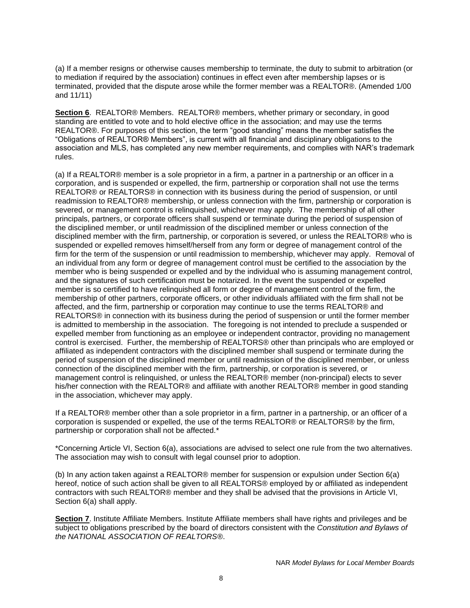(a) If a member resigns or otherwise causes membership to terminate, the duty to submit to arbitration (or to mediation if required by the association) continues in effect even after membership lapses or is terminated, provided that the dispute arose while the former member was a REALTOR®. (Amended 1/00 and 11/11)

**Section 6**. REALTOR® Members. REALTOR® members, whether primary or secondary, in good standing are entitled to vote and to hold elective office in the association; and may use the terms REALTOR®. For purposes of this section, the term "good standing" means the member satisfies the "Obligations of REALTOR® Members", is current with all financial and disciplinary obligations to the association and MLS, has completed any new member requirements, and complies with NAR's trademark rules.

(a) If a REALTOR® member is a sole proprietor in a firm, a partner in a partnership or an officer in a corporation, and is suspended or expelled, the firm, partnership or corporation shall not use the terms REALTOR® or REALTORS® in connection with its business during the period of suspension, or until readmission to REALTOR® membership, or unless connection with the firm, partnership or corporation is severed, or management control is relinquished, whichever may apply. The membership of all other principals, partners, or corporate officers shall suspend or terminate during the period of suspension of the disciplined member, or until readmission of the disciplined member or unless connection of the disciplined member with the firm, partnership, or corporation is severed, or unless the REALTOR® who is suspended or expelled removes himself/herself from any form or degree of management control of the firm for the term of the suspension or until readmission to membership, whichever may apply. Removal of an individual from any form or degree of management control must be certified to the association by the member who is being suspended or expelled and by the individual who is assuming management control, and the signatures of such certification must be notarized. In the event the suspended or expelled member is so certified to have relinquished all form or degree of management control of the firm, the membership of other partners, corporate officers, or other individuals affiliated with the firm shall not be affected, and the firm, partnership or corporation may continue to use the terms REALTOR® and REALTORS® in connection with its business during the period of suspension or until the former member is admitted to membership in the association. The foregoing is not intended to preclude a suspended or expelled member from functioning as an employee or independent contractor, providing no management control is exercised. Further, the membership of REALTORS® other than principals who are employed or affiliated as independent contractors with the disciplined member shall suspend or terminate during the period of suspension of the disciplined member or until readmission of the disciplined member, or unless connection of the disciplined member with the firm, partnership, or corporation is severed, or management control is relinquished, or unless the REALTOR® member (non-principal) elects to sever his/her connection with the REALTOR® and affiliate with another REALTOR® member in good standing in the association, whichever may apply.

If a REALTOR® member other than a sole proprietor in a firm, partner in a partnership, or an officer of a corporation is suspended or expelled, the use of the terms REALTOR® or REALTORS® by the firm, partnership or corporation shall not be affected.\*

\*Concerning Article VI, Section 6(a), associations are advised to select one rule from the two alternatives. The association may wish to consult with legal counsel prior to adoption.

(b) In any action taken against a REALTOR® member for suspension or expulsion under Section 6(a) hereof, notice of such action shall be given to all REALTORS® employed by or affiliated as independent contractors with such REALTOR® member and they shall be advised that the provisions in Article VI, Section 6(a) shall apply.

**Section 7**. Institute Affiliate Members. Institute Affiliate members shall have rights and privileges and be subject to obligations prescribed by the board of directors consistent with the *Constitution and Bylaws of the NATIONAL ASSOCIATION OF REALTORS®*.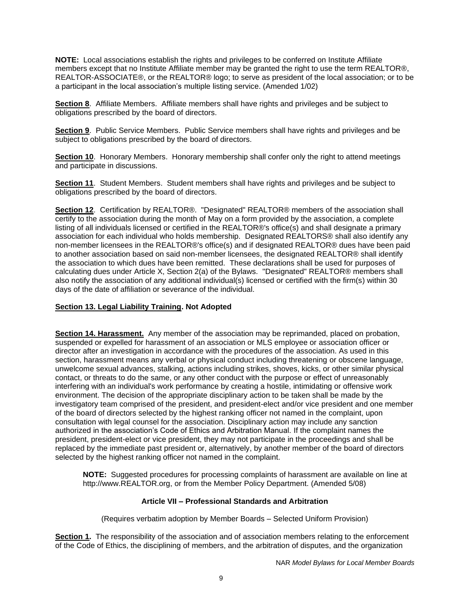**NOTE:** Local associations establish the rights and privileges to be conferred on Institute Affiliate members except that no Institute Affiliate member may be granted the right to use the term REALTOR®, REALTOR-ASSOCIATE®, or the REALTOR® logo; to serve as president of the local association; or to be a participant in the local association's multiple listing service. (Amended 1/02)

**Section 8**. Affiliate Members. Affiliate members shall have rights and privileges and be subject to obligations prescribed by the board of directors.

**Section 9**. Public Service Members. Public Service members shall have rights and privileges and be subject to obligations prescribed by the board of directors.

**Section 10**. Honorary Members. Honorary membership shall confer only the right to attend meetings and participate in discussions.

**Section 11**. Student Members. Student members shall have rights and privileges and be subject to obligations prescribed by the board of directors.

**Section 12**. Certification by REALTOR®. "Designated" REALTOR® members of the association shall certify to the association during the month of May on a form provided by the association, a complete listing of all individuals licensed or certified in the REALTOR®'s office(s) and shall designate a primary association for each individual who holds membership. Designated REALTORS® shall also identify any non-member licensees in the REALTOR®'s office(s) and if designated REALTOR® dues have been paid to another association based on said non-member licensees, the designated REALTOR® shall identify the association to which dues have been remitted. These declarations shall be used for purposes of calculating dues under Article X, Section 2(a) of the Bylaws. "Designated" REALTOR® members shall also notify the association of any additional individual(s) licensed or certified with the firm(s) within 30 days of the date of affiliation or severance of the individual.

### **Section 13. Legal Liability Training. Not Adopted**

**Section 14. Harassment.** Any member of the association may be reprimanded, placed on probation, suspended or expelled for harassment of an association or MLS employee or association officer or director after an investigation in accordance with the procedures of the association. As used in this section, harassment means any verbal or physical conduct including threatening or obscene language, unwelcome sexual advances, stalking, actions including strikes, shoves, kicks, or other similar physical contact, or threats to do the same, or any other conduct with the purpose or effect of unreasonably interfering with an individual's work performance by creating a hostile, intimidating or offensive work environment. The decision of the appropriate disciplinary action to be taken shall be made by the investigatory team comprised of the president, and president-elect and/or vice president and one member of the board of directors selected by the highest ranking officer not named in the complaint, upon consultation with legal counsel for the association. Disciplinary action may include any sanction authorized in the association's Code of Ethics and Arbitration Manual. If the complaint names the president, president-elect or vice president, they may not participate in the proceedings and shall be replaced by the immediate past president or, alternatively, by another member of the board of directors selected by the highest ranking officer not named in the complaint.

**NOTE:** Suggested procedures for processing complaints of harassment are available on line at http://www.REALTOR.org, or from the Member Policy Department. (Amended 5/08)

## **Article VII – Professional Standards and Arbitration**

(Requires verbatim adoption by Member Boards – Selected Uniform Provision)

**Section 1.** The responsibility of the association and of association members relating to the enforcement of the Code of Ethics, the disciplining of members, and the arbitration of disputes, and the organization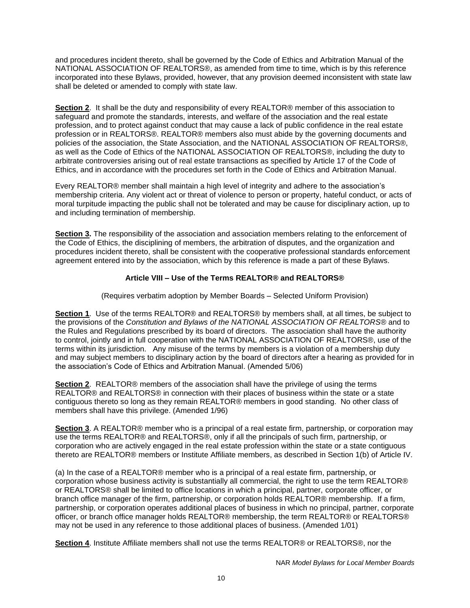and procedures incident thereto, shall be governed by the Code of Ethics and Arbitration Manual of the NATIONAL ASSOCIATION OF REALTORS®, as amended from time to time, which is by this reference incorporated into these Bylaws, provided, however, that any provision deemed inconsistent with state law shall be deleted or amended to comply with state law.

**Section 2**. It shall be the duty and responsibility of every REALTOR® member of this association to safeguard and promote the standards, interests, and welfare of the association and the real estate profession, and to protect against conduct that may cause a lack of public confidence in the real estate profession or in REALTORS®. REALTOR® members also must abide by the governing documents and policies of the association, the State Association, and the NATIONAL ASSOCIATION OF REALTORS®, as well as the Code of Ethics of the NATIONAL ASSOCIATION OF REALTORS®, including the duty to arbitrate controversies arising out of real estate transactions as specified by Article 17 of the Code of Ethics, and in accordance with the procedures set forth in the Code of Ethics and Arbitration Manual.

Every REALTOR® member shall maintain a high level of integrity and adhere to the association's membership criteria. Any violent act or threat of violence to person or property, hateful conduct, or acts of moral turpitude impacting the public shall not be tolerated and may be cause for disciplinary action, up to and including termination of membership.

**Section 3.** The responsibility of the association and association members relating to the enforcement of the Code of Ethics, the disciplining of members, the arbitration of disputes, and the organization and procedures incident thereto, shall be consistent with the cooperative professional standards enforcement agreement entered into by the association, which by this reference is made a part of these Bylaws.

# **Article VIII – Use of the Terms REALTOR® and REALTORS®**

(Requires verbatim adoption by Member Boards – Selected Uniform Provision)

**Section 1**. Use of the terms REALTOR® and REALTORS® by members shall, at all times, be subject to the provisions of the *Constitution and Bylaws of the NATIONAL ASSOCIATION OF REALTORS®* and to the Rules and Regulations prescribed by its board of directors. The association shall have the authority to control, jointly and in full cooperation with the NATIONAL ASSOCIATION OF REALTORS®, use of the terms within its jurisdiction. Any misuse of the terms by members is a violation of a membership duty and may subject members to disciplinary action by the board of directors after a hearing as provided for in the association's Code of Ethics and Arbitration Manual. (Amended 5/06)

**Section 2**. REALTOR® members of the association shall have the privilege of using the terms REALTOR® and REALTORS® in connection with their places of business within the state or a state contiguous thereto so long as they remain REALTOR® members in good standing. No other class of members shall have this privilege. (Amended 1/96)

**Section 3**. A REALTOR® member who is a principal of a real estate firm, partnership, or corporation may use the terms REALTOR® and REALTORS®, only if all the principals of such firm, partnership, or corporation who are actively engaged in the real estate profession within the state or a state contiguous thereto are REALTOR® members or Institute Affiliate members, as described in Section 1(b) of Article IV.

(a) In the case of a REALTOR® member who is a principal of a real estate firm, partnership, or corporation whose business activity is substantially all commercial, the right to use the term REALTOR® or REALTORS® shall be limited to office locations in which a principal, partner, corporate officer, or branch office manager of the firm, partnership, or corporation holds REALTOR® membership. If a firm, partnership, or corporation operates additional places of business in which no principal, partner, corporate officer, or branch office manager holds REALTOR® membership, the term REALTOR® or REALTORS® may not be used in any reference to those additional places of business. (Amended 1/01)

**Section 4**. Institute Affiliate members shall not use the terms REALTOR® or REALTORS®, nor the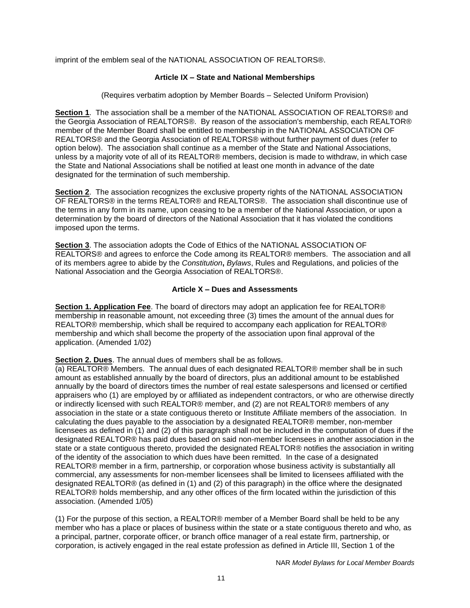imprint of the emblem seal of the NATIONAL ASSOCIATION OF REALTORS®.

#### **Article IX – State and National Memberships**

(Requires verbatim adoption by Member Boards – Selected Uniform Provision)

**Section 1**. The association shall be a member of the NATIONAL ASSOCIATION OF REALTORS® and the Georgia Association of REALTORS®. By reason of the association's membership, each REALTOR® member of the Member Board shall be entitled to membership in the NATIONAL ASSOCIATION OF REALTORS® and the Georgia Association of REALTORS® without further payment of dues (refer to option below). The association shall continue as a member of the State and National Associations, unless by a majority vote of all of its REALTOR® members, decision is made to withdraw, in which case the State and National Associations shall be notified at least one month in advance of the date designated for the termination of such membership.

**Section 2**. The association recognizes the exclusive property rights of the NATIONAL ASSOCIATION OF REALTORS® in the terms REALTOR® and REALTORS®. The association shall discontinue use of the terms in any form in its name, upon ceasing to be a member of the National Association, or upon a determination by the board of directors of the National Association that it has violated the conditions imposed upon the terms.

**Section 3**. The association adopts the Code of Ethics of the NATIONAL ASSOCIATION OF REALTORS® and agrees to enforce the Code among its REALTOR® members. The association and all of its members agree to abide by the *Constitution***,** *Bylaws*, Rules and Regulations, and policies of the National Association and the Georgia Association of REALTORS®.

#### **Article X – Dues and Assessments**

**Section 1. Application Fee**. The board of directors may adopt an application fee for REALTOR® membership in reasonable amount, not exceeding three (3) times the amount of the annual dues for REALTOR® membership, which shall be required to accompany each application for REALTOR® membership and which shall become the property of the association upon final approval of the application. (Amended 1/02)

#### **Section 2. Dues**. The annual dues of members shall be as follows.

(a) REALTOR® Members. The annual dues of each designated REALTOR® member shall be in such amount as established annually by the board of directors, plus an additional amount to be established annually by the board of directors times the number of real estate salespersons and licensed or certified appraisers who (1) are employed by or affiliated as independent contractors, or who are otherwise directly or indirectly licensed with such REALTOR® member, and (2) are not REALTOR® members of any association in the state or a state contiguous thereto or Institute Affiliate members of the association. In calculating the dues payable to the association by a designated REALTOR® member, non-member licensees as defined in (1) and (2) of this paragraph shall not be included in the computation of dues if the designated REALTOR® has paid dues based on said non-member licensees in another association in the state or a state contiguous thereto, provided the designated REALTOR® notifies the association in writing of the identity of the association to which dues have been remitted. In the case of a designated REALTOR® member in a firm, partnership, or corporation whose business activity is substantially all commercial, any assessments for non-member licensees shall be limited to licensees affiliated with the designated REALTOR® (as defined in (1) and (2) of this paragraph) in the office where the designated REALTOR® holds membership, and any other offices of the firm located within the jurisdiction of this association. (Amended 1/05)

(1) For the purpose of this section, a REALTOR® member of a Member Board shall be held to be any member who has a place or places of business within the state or a state contiguous thereto and who, as a principal, partner, corporate officer, or branch office manager of a real estate firm, partnership, or corporation, is actively engaged in the real estate profession as defined in Article III, Section 1 of the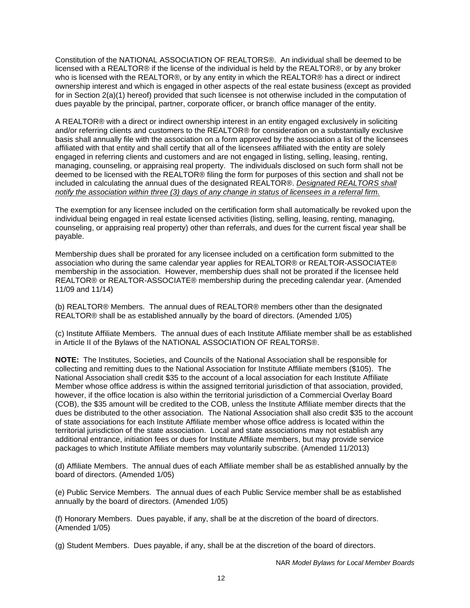Constitution of the NATIONAL ASSOCIATION OF REALTORS®. An individual shall be deemed to be licensed with a REALTOR® if the license of the individual is held by the REALTOR®, or by any broker who is licensed with the REALTOR®, or by any entity in which the REALTOR® has a direct or indirect ownership interest and which is engaged in other aspects of the real estate business (except as provided for in Section 2(a)(1) hereof) provided that such licensee is not otherwise included in the computation of dues payable by the principal, partner, corporate officer, or branch office manager of the entity.

A REALTOR® with a direct or indirect ownership interest in an entity engaged exclusively in soliciting and/or referring clients and customers to the REALTOR® for consideration on a substantially exclusive basis shall annually file with the association on a form approved by the association a list of the licensees affiliated with that entity and shall certify that all of the licensees affiliated with the entity are solely engaged in referring clients and customers and are not engaged in listing, selling, leasing, renting, managing, counseling, or appraising real property. The individuals disclosed on such form shall not be deemed to be licensed with the REALTOR® filing the form for purposes of this section and shall not be included in calculating the annual dues of the designated REALTOR®. *Designated REALTORS shall notify the association within three (3) days of any change in status of licensees in a referral firm.*

The exemption for any licensee included on the certification form shall automatically be revoked upon the individual being engaged in real estate licensed activities (listing, selling, leasing, renting, managing, counseling, or appraising real property) other than referrals, and dues for the current fiscal year shall be payable.

Membership dues shall be prorated for any licensee included on a certification form submitted to the association who during the same calendar year applies for REALTOR® or REALTOR-ASSOCIATE® membership in the association. However, membership dues shall not be prorated if the licensee held REALTOR® or REALTOR-ASSOCIATE® membership during the preceding calendar year. (Amended 11/09 and 11/14)

(b) REALTOR® Members. The annual dues of REALTOR® members other than the designated REALTOR® shall be as established annually by the board of directors. (Amended 1/05)

(c) Institute Affiliate Members. The annual dues of each Institute Affiliate member shall be as established in Article II of the Bylaws of the NATIONAL ASSOCIATION OF REALTORS®.

**NOTE:** The Institutes, Societies, and Councils of the National Association shall be responsible for collecting and remitting dues to the National Association for Institute Affiliate members (\$105). The National Association shall credit \$35 to the account of a local association for each Institute Affiliate Member whose office address is within the assigned territorial jurisdiction of that association, provided, however, if the office location is also within the territorial jurisdiction of a Commercial Overlay Board (COB), the \$35 amount will be credited to the COB, unless the Institute Affiliate member directs that the dues be distributed to the other association. The National Association shall also credit \$35 to the account of state associations for each Institute Affiliate member whose office address is located within the territorial jurisdiction of the state association. Local and state associations may not establish any additional entrance, initiation fees or dues for Institute Affiliate members, but may provide service packages to which Institute Affiliate members may voluntarily subscribe. (Amended 11/2013)

(d) Affiliate Members. The annual dues of each Affiliate member shall be as established annually by the board of directors. (Amended 1/05)

(e) Public Service Members. The annual dues of each Public Service member shall be as established annually by the board of directors. (Amended 1/05)

(f) Honorary Members. Dues payable, if any, shall be at the discretion of the board of directors. (Amended 1/05)

(g) Student Members. Dues payable, if any, shall be at the discretion of the board of directors.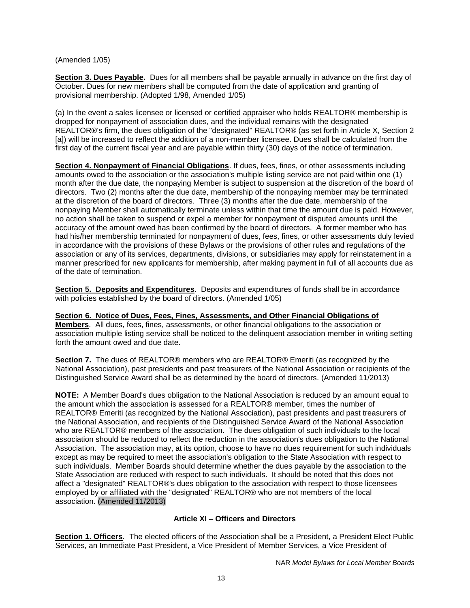### (Amended 1/05)

**Section 3. Dues Payable.** Dues for all members shall be payable annually in advance on the first day of October. Dues for new members shall be computed from the date of application and granting of provisional membership. (Adopted 1/98, Amended 1/05)

(a) In the event a sales licensee or licensed or certified appraiser who holds REALTOR® membership is dropped for nonpayment of association dues, and the individual remains with the designated REALTOR®'s firm, the dues obligation of the "designated" REALTOR® (as set forth in Article X, Section 2 [a]) will be increased to reflect the addition of a non-member licensee. Dues shall be calculated from the first day of the current fiscal year and are payable within thirty (30) days of the notice of termination.

**Section 4. Nonpayment of Financial Obligations**. If dues, fees, fines, or other assessments including amounts owed to the association or the association's multiple listing service are not paid within one (1) month after the due date, the nonpaying Member is subject to suspension at the discretion of the board of directors. Two (2) months after the due date, membership of the nonpaying member may be terminated at the discretion of the board of directors. Three (3) months after the due date, membership of the nonpaying Member shall automatically terminate unless within that time the amount due is paid. However, no action shall be taken to suspend or expel a member for nonpayment of disputed amounts until the accuracy of the amount owed has been confirmed by the board of directors. A former member who has had his/her membership terminated for nonpayment of dues, fees, fines, or other assessments duly levied in accordance with the provisions of these Bylaws or the provisions of other rules and regulations of the association or any of its services, departments, divisions, or subsidiaries may apply for reinstatement in a manner prescribed for new applicants for membership, after making payment in full of all accounts due as of the date of termination.

**Section 5. Deposits and Expenditures**. Deposits and expenditures of funds shall be in accordance with policies established by the board of directors. (Amended 1/05)

**Section 6. Notice of Dues, Fees, Fines, Assessments, and Other Financial Obligations of Members**. All dues, fees, fines, assessments, or other financial obligations to the association or association multiple listing service shall be noticed to the delinquent association member in writing setting forth the amount owed and due date.

**Section 7.** The dues of REALTOR® members who are REALTOR® Emeriti (as recognized by the National Association), past presidents and past treasurers of the National Association or recipients of the Distinguished Service Award shall be as determined by the board of directors. (Amended 11/2013)

**NOTE:** A Member Board's dues obligation to the National Association is reduced by an amount equal to the amount which the association is assessed for a REALTOR® member, times the number of REALTOR® Emeriti (as recognized by the National Association), past presidents and past treasurers of the National Association, and recipients of the Distinguished Service Award of the National Association who are REALTOR® members of the association. The dues obligation of such individuals to the local association should be reduced to reflect the reduction in the association's dues obligation to the National Association. The association may, at its option, choose to have no dues requirement for such individuals except as may be required to meet the association's obligation to the State Association with respect to such individuals. Member Boards should determine whether the dues payable by the association to the State Association are reduced with respect to such individuals. It should be noted that this does not affect a "designated" REALTOR®'s dues obligation to the association with respect to those licensees employed by or affiliated with the "designated" REALTOR® who are not members of the local association. (Amended 11/2013)

## **Article XI – Officers and Directors**

**Section 1. Officers**. The elected officers of the Association shall be a President, a President Elect Public Services, an Immediate Past President, a Vice President of Member Services, a Vice President of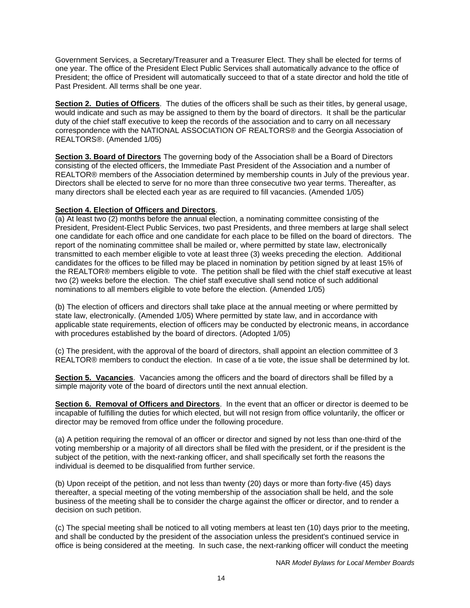Government Services, a Secretary/Treasurer and a Treasurer Elect. They shall be elected for terms of one year. The office of the President Elect Public Services shall automatically advance to the office of President; the office of President will automatically succeed to that of a state director and hold the title of Past President. All terms shall be one year.

**Section 2. Duties of Officers**. The duties of the officers shall be such as their titles, by general usage, would indicate and such as may be assigned to them by the board of directors. It shall be the particular duty of the chief staff executive to keep the records of the association and to carry on all necessary correspondence with the NATIONAL ASSOCIATION OF REALTORS® and the Georgia Association of REALTORS®. (Amended 1/05)

**Section 3. Board of Directors** The governing body of the Association shall be a Board of Directors consisting of the elected officers, the Immediate Past President of the Association and a number of REALTOR® members of the Association determined by membership counts in July of the previous year. Directors shall be elected to serve for no more than three consecutive two year terms. Thereafter, as many directors shall be elected each year as are required to fill vacancies. (Amended 1/05)

#### **Section 4. Election of Officers and Directors**.

(a) At least two (2) months before the annual election, a nominating committee consisting of the President, President-Elect Public Services, two past Presidents, and three members at large shall select one candidate for each office and one candidate for each place to be filled on the board of directors. The report of the nominating committee shall be mailed or, where permitted by state law, electronically transmitted to each member eligible to vote at least three (3) weeks preceding the election. Additional candidates for the offices to be filled may be placed in nomination by petition signed by at least 15% of the REALTOR® members eligible to vote. The petition shall be filed with the chief staff executive at least two (2) weeks before the election. The chief staff executive shall send notice of such additional nominations to all members eligible to vote before the election. (Amended 1/05)

(b) The election of officers and directors shall take place at the annual meeting or where permitted by state law, electronically. (Amended 1/05) Where permitted by state law, and in accordance with applicable state requirements, election of officers may be conducted by electronic means, in accordance with procedures established by the board of directors. (Adopted 1/05)

(c) The president, with the approval of the board of directors, shall appoint an election committee of 3 REALTOR® members to conduct the election. In case of a tie vote, the issue shall be determined by lot.

**Section 5. Vacancies**. Vacancies among the officers and the board of directors shall be filled by a simple majority vote of the board of directors until the next annual election.

**Section 6. Removal of Officers and Directors**. In the event that an officer or director is deemed to be incapable of fulfilling the duties for which elected, but will not resign from office voluntarily, the officer or director may be removed from office under the following procedure.

(a) A petition requiring the removal of an officer or director and signed by not less than one-third of the voting membership or a majority of all directors shall be filed with the president, or if the president is the subject of the petition, with the next-ranking officer, and shall specifically set forth the reasons the individual is deemed to be disqualified from further service.

(b) Upon receipt of the petition, and not less than twenty (20) days or more than forty-five (45) days thereafter, a special meeting of the voting membership of the association shall be held, and the sole business of the meeting shall be to consider the charge against the officer or director, and to render a decision on such petition.

(c) The special meeting shall be noticed to all voting members at least ten (10) days prior to the meeting, and shall be conducted by the president of the association unless the president's continued service in office is being considered at the meeting. In such case, the next-ranking officer will conduct the meeting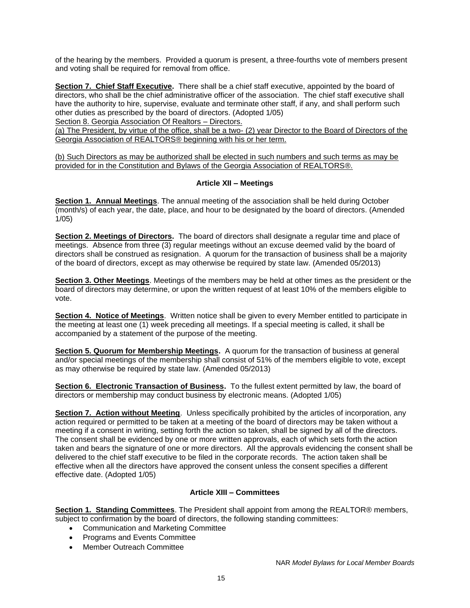of the hearing by the members. Provided a quorum is present, a three-fourths vote of members present and voting shall be required for removal from office.

**Section 7. Chief Staff Executive.** There shall be a chief staff executive, appointed by the board of directors, who shall be the chief administrative officer of the association. The chief staff executive shall have the authority to hire, supervise, evaluate and terminate other staff, if any, and shall perform such other duties as prescribed by the board of directors. (Adopted 1/05)

Section 8. Georgia Association Of Realtors - Directors.

(a) The President, by virtue of the office, shall be a two- (2) year Director to the Board of Directors of the Georgia Association of REALTORS® beginning with his or her term.

(b) Such Directors as may be authorized shall be elected in such numbers and such terms as may be provided for in the Constitution and Bylaws of the Georgia Association of REALTORS®.

#### **Article XII – Meetings**

**Section 1. Annual Meetings**. The annual meeting of the association shall be held during October (month/s) of each year, the date, place, and hour to be designated by the board of directors. (Amended 1/05)

**Section 2. Meetings of Directors.** The board of directors shall designate a regular time and place of meetings. Absence from three (3) regular meetings without an excuse deemed valid by the board of directors shall be construed as resignation. A quorum for the transaction of business shall be a majority of the board of directors, except as may otherwise be required by state law. (Amended 05/2013)

**Section 3. Other Meetings**. Meetings of the members may be held at other times as the president or the board of directors may determine, or upon the written request of at least 10% of the members eligible to vote.

**Section 4. Notice of Meetings**. Written notice shall be given to every Member entitled to participate in the meeting at least one (1) week preceding all meetings. If a special meeting is called, it shall be accompanied by a statement of the purpose of the meeting.

**Section 5. Quorum for Membership Meetings.** A quorum for the transaction of business at general and/or special meetings of the membership shall consist of 51% of the members eligible to vote, except as may otherwise be required by state law. (Amended 05/2013)

**Section 6. Electronic Transaction of Business.** To the fullest extent permitted by law, the board of directors or membership may conduct business by electronic means. (Adopted 1/05)

**Section 7. Action without Meeting.** Unless specifically prohibited by the articles of incorporation, any action required or permitted to be taken at a meeting of the board of directors may be taken without a meeting if a consent in writing, setting forth the action so taken, shall be signed by all of the directors. The consent shall be evidenced by one or more written approvals, each of which sets forth the action taken and bears the signature of one or more directors. All the approvals evidencing the consent shall be delivered to the chief staff executive to be filed in the corporate records. The action taken shall be effective when all the directors have approved the consent unless the consent specifies a different effective date. (Adopted 1/05)

## **Article XIII – Committees**

**Section 1. Standing Committees**. The President shall appoint from among the REALTOR® members, subject to confirmation by the board of directors, the following standing committees:

- Communication and Marketing Committee
- Programs and Events Committee
- Member Outreach Committee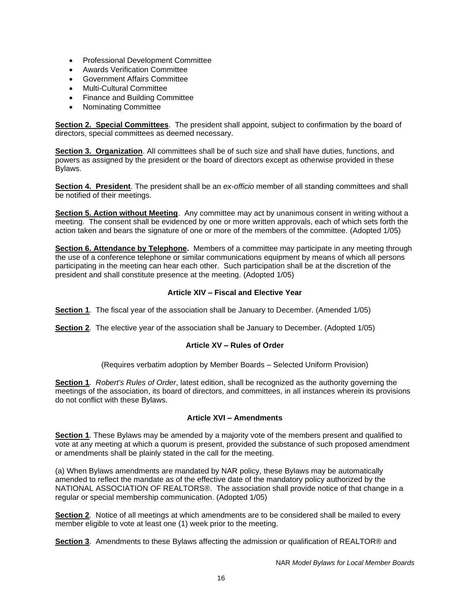- Professional Development Committee
- Awards Verification Committee
- Government Affairs Committee
- Multi-Cultural Committee
- Finance and Building Committee
- Nominating Committee

**Section 2. Special Committees**. The president shall appoint, subject to confirmation by the board of directors, special committees as deemed necessary.

**Section 3. Organization**. All committees shall be of such size and shall have duties, functions, and powers as assigned by the president or the board of directors except as otherwise provided in these Bylaws.

**Section 4. President**. The president shall be an *ex-officio* member of all standing committees and shall be notified of their meetings.

**Section 5. Action without Meeting**. Any committee may act by unanimous consent in writing without a meeting. The consent shall be evidenced by one or more written approvals, each of which sets forth the action taken and bears the signature of one or more of the members of the committee. (Adopted 1/05)

**Section 6. Attendance by Telephone.** Members of a committee may participate in any meeting through the use of a conference telephone or similar communications equipment by means of which all persons participating in the meeting can hear each other. Such participation shall be at the discretion of the president and shall constitute presence at the meeting. (Adopted 1/05)

## **Article XIV – Fiscal and Elective Year**

**Section 1**. The fiscal year of the association shall be January to December. (Amended 1/05)

**Section 2**. The elective year of the association shall be January to December. (Adopted 1/05)

## **Article XV – Rules of Order**

(Requires verbatim adoption by Member Boards – Selected Uniform Provision)

**Section 1**. *Robert's Rules of Order*, latest edition, shall be recognized as the authority governing the meetings of the association, its board of directors, and committees, in all instances wherein its provisions do not conflict with these Bylaws.

### **Article XVI – Amendments**

**Section 1**. These Bylaws may be amended by a majority vote of the members present and qualified to vote at any meeting at which a quorum is present, provided the substance of such proposed amendment or amendments shall be plainly stated in the call for the meeting.

(a) When Bylaws amendments are mandated by NAR policy, these Bylaws may be automatically amended to reflect the mandate as of the effective date of the mandatory policy authorized by the NATIONAL ASSOCIATION OF REALTORS®. The association shall provide notice of that change in a regular or special membership communication. (Adopted 1/05)

**Section 2**. Notice of all meetings at which amendments are to be considered shall be mailed to every member eligible to vote at least one (1) week prior to the meeting.

**Section 3**. Amendments to these Bylaws affecting the admission or qualification of REALTOR® and